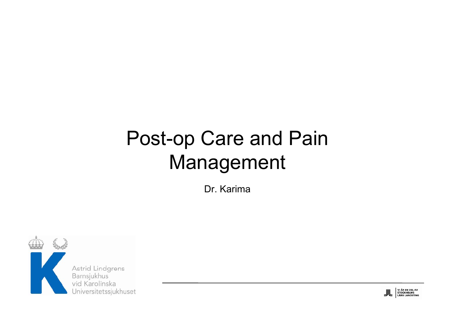## Post-op Care and Pain Management

Dr. Karima



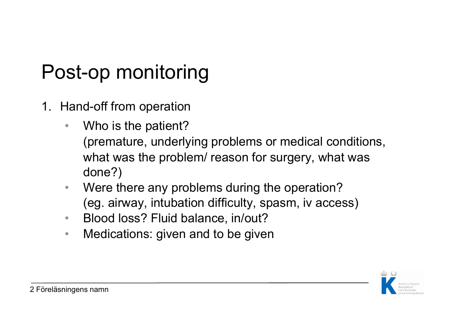# Post-op monitoring

- 1. Hand-off from operation
	- • Who is the patient?
		- (premature, underlying problems or medical conditions, what was the problem/ reason for surgery, what was done?)
	- $\bullet$  Were there any problems during the operation? (eg. airway, intubation difficulty, spasm, iv access)
	- $\bullet$ Blood loss? Fluid balance, in/out?
	- $\bullet$ Medications: given and to be given

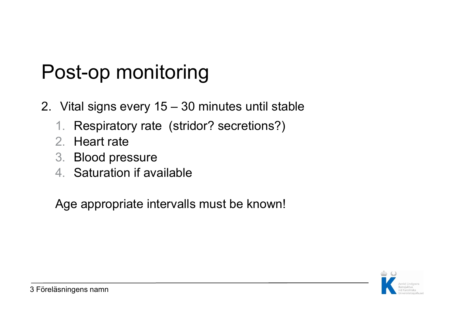## Post-op monitoring

- 2. Vital signs every 15 30 minutes until stable
	- 1. Respiratory rate (stridor? secretions?)
	- 2. Heart rate
	- 3. Blood pressure
	- 4. Saturation if available

Age appropriate intervalls must be known!

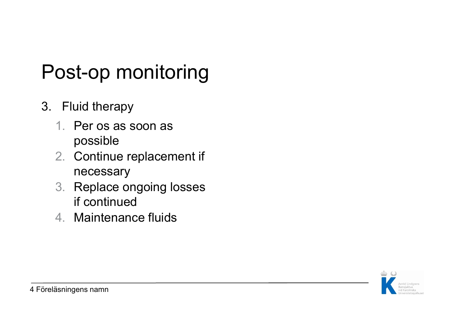## Post-op monitoring

- 3. Fluid therapy
	- 1. Per os as soon as possible
	- 2. Continue replacement if necessary
	- 3. Replace ongoing losses if continued
	- 4. Maintenance fluids

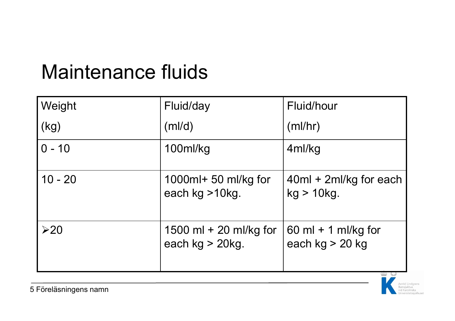## Maintenance fluids

| Weight    | Fluid/day                                    | Fluid/hour                                                |  |
|-----------|----------------------------------------------|-----------------------------------------------------------|--|
| (kg)      | (m/d)                                        | (ml/hr)                                                   |  |
| $0 - 10$  | 100ml/kg                                     | 4ml/kg                                                    |  |
| $10 - 20$ | $1000$ ml+ 50 ml/kg for<br>each kg >10kg.    | 40ml + 2ml/kg for each<br>$kg > 10kg$ .                   |  |
| >20       | 1500 ml + 20 ml/kg for<br>each $kg > 20kg$ . | $60$ ml + 1 ml/kg for<br>each $kg > 20$ kg<br>$66660 - 5$ |  |

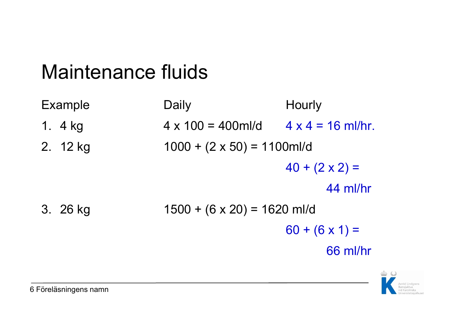### Maintenance fluids

| <b>Example</b> | Daily                              | Hourly                   |
|----------------|------------------------------------|--------------------------|
| 1. 4 kg        | $4 \times 100 = 400$ ml/d          | $4 \times 4 = 16$ ml/hr. |
| 2. 12 kg       | $1000 + (2 \times 50) = 1100$ ml/d |                          |
|                |                                    | $40 + (2 \times 2) =$    |
|                |                                    | $44$ ml/hr               |
| 3. 26 kg       | $1500 + (6 \times 20) = 1620$ ml/d |                          |
|                |                                    | $60 + (6 \times 1) =$    |
|                |                                    | 66 ml/hr                 |
|                |                                    |                          |

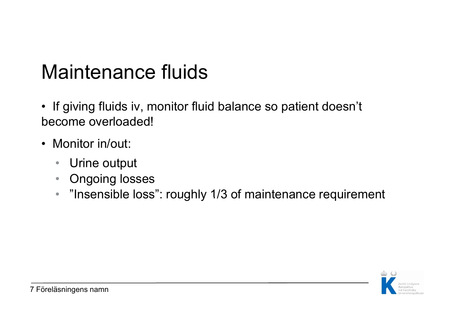## Maintenance fluids

- If giving fluids iv, monitor fluid balance so patient doesn't become overloaded!
- Monitor in/out:
	- $\bullet$ • Urine output
	- $\bullet$ Ongoing losses
	- "Insensible loss": roughly 1/3 of maintenance requirement

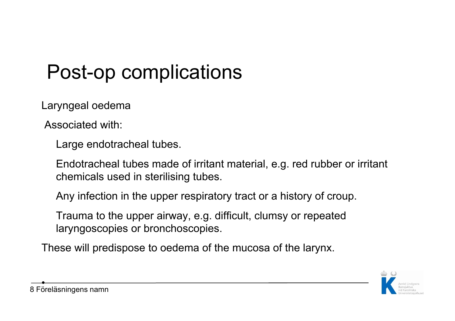## Post-op complications

Laryngeal oedema

Associated with:

Large endotracheal tubes.

Endotracheal tubes made of irritant material, e.g. red rubber or irritant chemicals used in sterilising tubes.

Any infection in the upper respiratory tract or a history of croup.

Trauma to the upper airway, e.g. difficult, clumsy or repeated laryngoscopies or bronchoscopies.

These will predispose to oedema of the mucosa of the larynx.

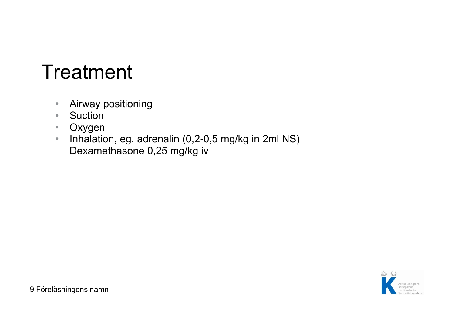### Treatment

- •Airway positioning
- Suction
- Oxygen
- Inhalation, eg. adrenalin (0,2-0,5 mg/kg in 2ml NS) Dexamethasone 0,25 mg/kg iv

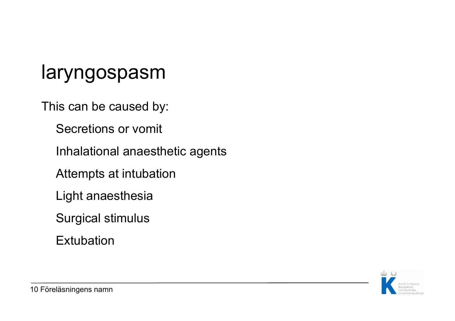## laryngospasm

This can be caused by:

Secretions or vomit

Inhalational anaesthetic agents

Attempts at intubation

Light anaesthesia

Surgical stimulus

Extubation

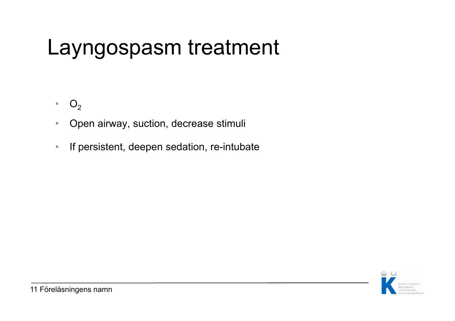## Layngospasm treatment

- • $\mathsf{O}_2$
- •Open airway, suction, decrease stimuli
- •If persistent, deepen sedation, re-intubate

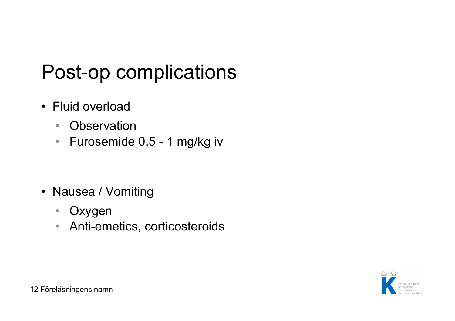## Post-op complications

- Fluid overload
	- •• Observation
	- Furosemide 0,5 1 mg/kg iv

- Nausea / Vomitin g
	- Oxygen
	- Anti-emetics, corticosteroids

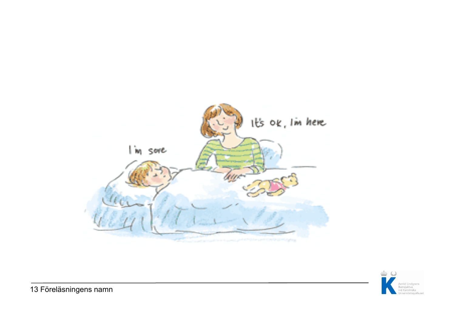

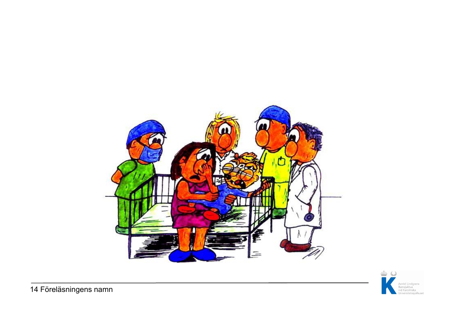

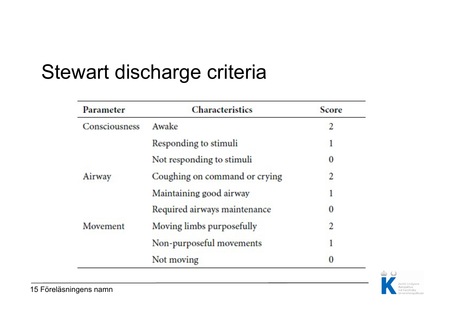## Stewart discharge criteria

| Parameter     | <b>Characteristics</b>        | <b>Score</b> |
|---------------|-------------------------------|--------------|
| Consciousness | Awake                         | 2            |
|               | Responding to stimuli         | 1            |
|               | Not responding to stimuli     | $\mathbf{0}$ |
| Airway        | Coughing on command or crying | 2            |
|               | Maintaining good airway       | 1            |
|               | Required airways maintenance  | $\theta$     |
| Movement      | Moving limbs purposefully     | 2            |
|               | Non-purposeful movements      | 1            |
|               | Not moving                    |              |

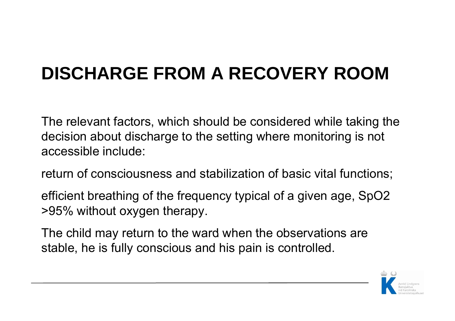#### **DISCHARGE FROM A RECOVERY ROOM**

The relevant factors, which should be considered while taking the decision about discharge to the setting where monitoring is not accessible include:

return of consciousness and stabilization of basic vital functions;

efficient breathing of the frequency typical of a given age, SpO2 >95% without oxygen therapy.

The child may return to the ward when the observations are stable, he is fully conscious and his pain is controlled.

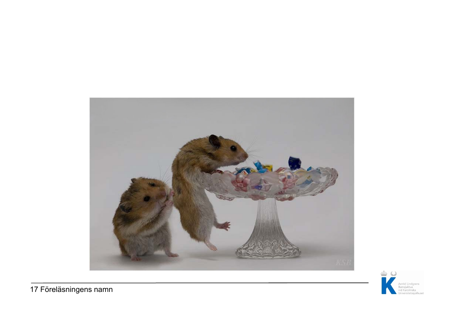



Föreläsningens namn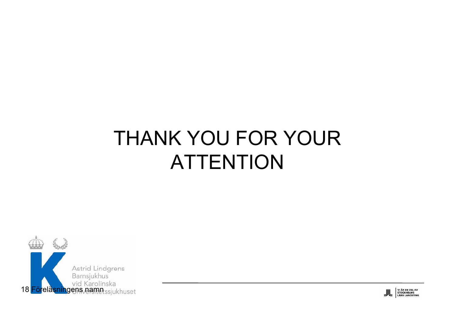# THANK YOU FOR YOUR ATTENTION



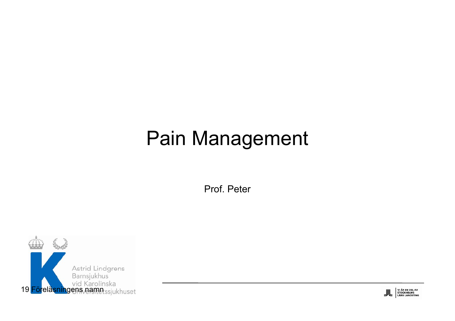# Pain Management

Prof. Peter



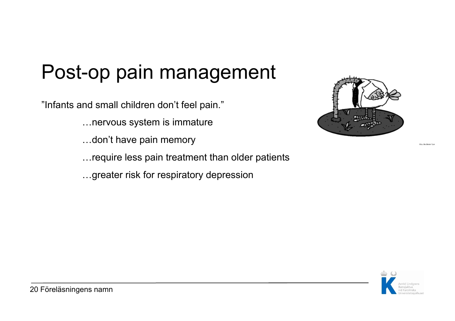## Post-op pain management

"Infants and small children don't feel pain."

…nervous system is immature

…don't have pain memory

…require less pain treatment than older patients

…greater risk for respiratory depression



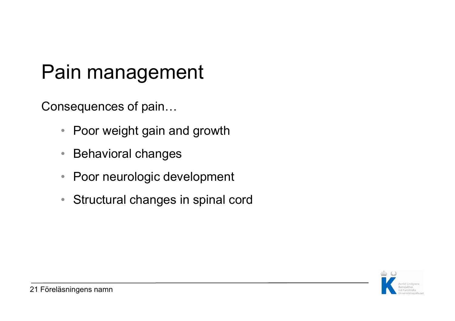# Pain management

Consequences of pain…

- Poor weight gain and growth
- •• Behavioral changes
- •Poor neurologic development
- Structural changes in spinal cord

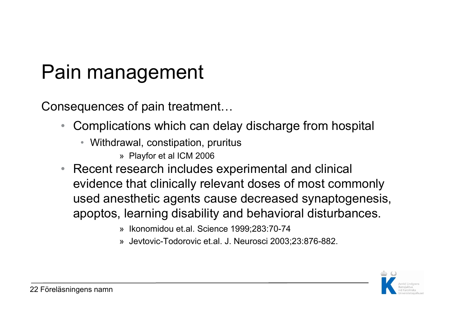# Pain management

Consequences of pain treatment…

- • Complications which can delay discharge from hospital
	- Withdrawal, constipation, pruritus
		- » Pla yfor et al ICM 2006
- Recent research includes experimental and clinical evidence that clinically relevant doses of most commonly used anesthetic agents cause decreased synaptogenesis, apoptos, learning disability and behavioral disturbances.
	- » Ikonomidou et.al. Science 1999;283:70-74
	- » Jevtovic-Todorovic et.al. J. Neurosci 2003;23:876-882.

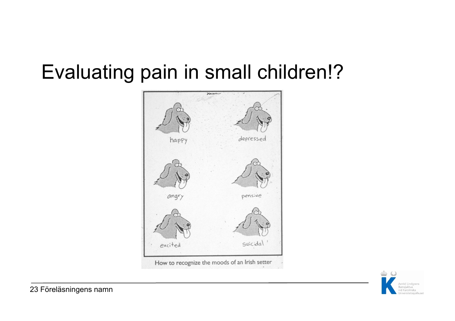### Evaluating pain in small children!?



How to recognize the moods of an Irish setter

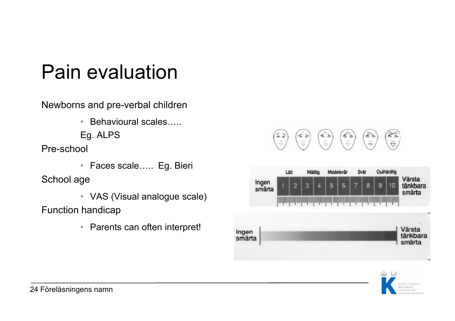### Pain evaluation

Newborns and pre-verbal children

• Behavioural scales.....

Eg. ALPS

Pre-school

• Faces scale….. Eg. Bieri School age

• VAS (Visual analogue scale) Function handicap

• Parents can often interpret!





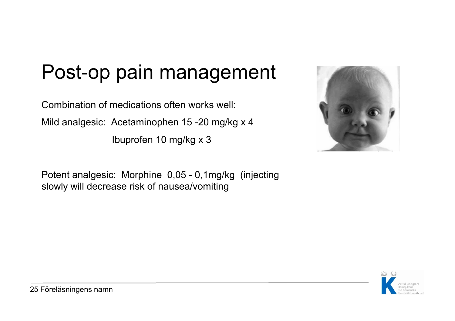# Post-op pain management

Combination of medications often works well:Mild analgesic: Acetaminophen 15 -20 mg/kg <sup>x</sup> 4 20 Ibuprofen 10 mg/kg x 3

Potent analgesic: Morphine 0,05 - 0,1mg/kg (injecting slowly will decrease risk of nausea/vomiting



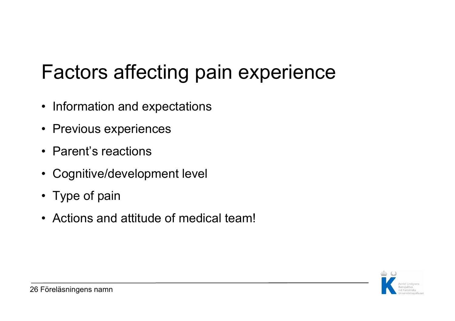## Factors affecting pain experience

- Information and expectations
- Previous experiences
- Parent's reactions
- Cognitive/development level
- Type of pain
- Actions and attitude of medical team!

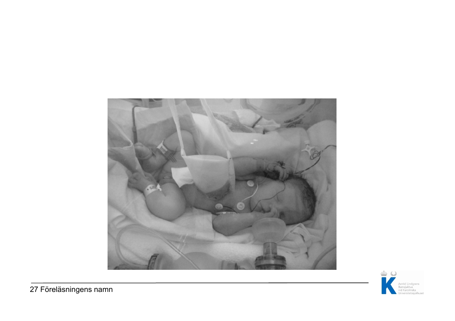

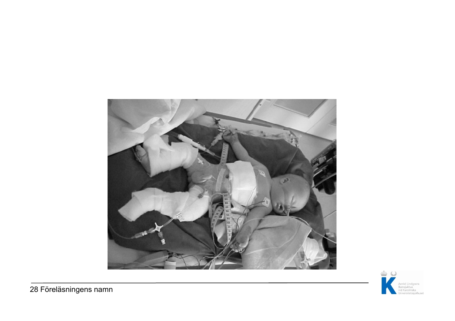

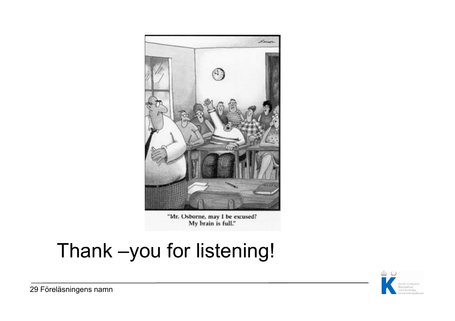

"Mr. Osborne, may I be excused? My brain is full."

### Thank –you for listening!